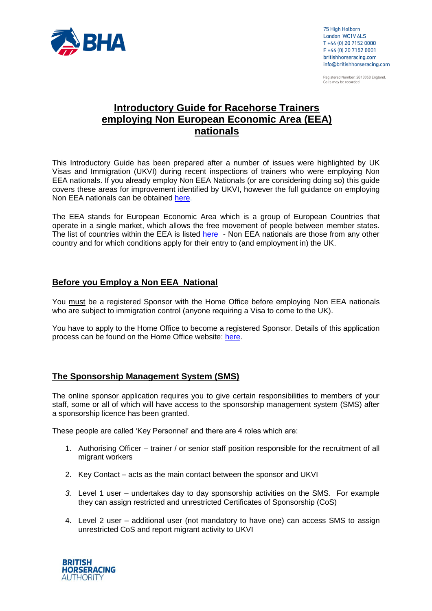

75 High Holborn London WC1V 6LS T +44 (0) 20 7152 0000 F +44 (0) 20 7152 0001 britishhorseracing.com info@britishhorseracing.com

Registered Number: 2813358 England. Calls may be recorded

# **Introductory Guide for Racehorse Trainers employing Non European Economic Area (EEA) nationals**

This Introductory Guide has been prepared after a number of issues were highlighted by UK Visas and Immigration (UKVI) during recent inspections of trainers who were employing Non EEA nationals. If you already employ Non EEA Nationals (or are considering doing so) this guide covers these areas for improvement identified by UKVI, however the full guidance on employing Non EEA nationals can be obtained [here](https://www.gov.uk/government/collections/sponsorship-information-for-employers-and-educators).

The EEA stands for European Economic Area which is a group of European Countries that operate in a single market, which allows the free movement of people between member states. The list of countries within the EEA is listed [here](https://www.gov.uk/eu-eea) - Non EEA nationals are those from any other country and for which conditions apply for their entry to (and employment in) the UK.

#### **Before you Employ a Non EEA National**

You must be a registered Sponsor with the Home Office before employing Non EEA nationals who are subject to immigration control (anyone requiring a Visa to come to the UK).

You have to apply to the Home Office to become a registered Sponsor. Details of this application process can be found on the Home Office website: [here.](https://www.gov.uk/apply-sponsor-licence)

## **The Sponsorship Management System (SMS)**

The online sponsor application requires you to give certain responsibilities to members of your staff, some or all of which will have access to the sponsorship management system (SMS) after a sponsorship licence has been granted.

These people are called 'Key Personnel' and there are 4 roles which are:

- 1. Authorising Officer trainer / or senior staff position responsible for the recruitment of all migrant workers
- 2. Key Contact acts as the main contact between the sponsor and UKVI
- *3.* Level 1 user undertakes day to day sponsorship activities on the SMS. For example they can assign restricted and unrestricted Certificates of Sponsorship (CoS)
- 4. Level 2 user additional user (not mandatory to have one) can access SMS to assign unrestricted CoS and report migrant activity to UKVI

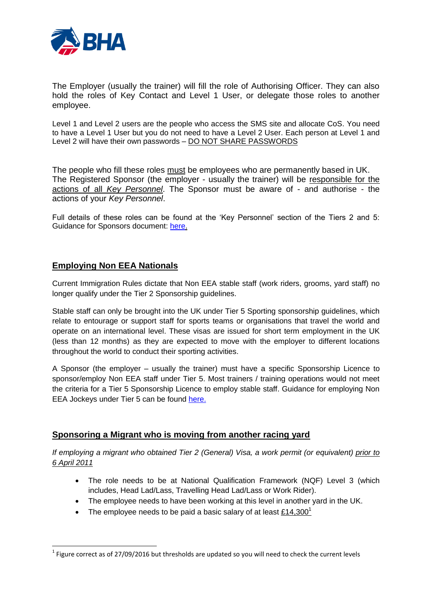

The Employer (usually the trainer) will fill the role of Authorising Officer. They can also hold the roles of Key Contact and Level 1 User, or delegate those roles to another employee.

Level 1 and Level 2 users are the people who access the SMS site and allocate CoS. You need to have a Level 1 User but you do not need to have a Level 2 User. Each person at Level 1 and Level 2 will have their own passwords - DO NOT SHARE PASSWORDS

The people who fill these roles must be employees who are permanently based in UK. The Registered Sponsor (the employer - usually the trainer) will be responsible for the actions of all *Key Personnel*. The Sponsor must be aware of - and authorise - the actions of your *Key Personnel*.

Full details of these roles can be found at the 'Key Personnel' section of the Tiers 2 and 5: Guidance for Sponsors document: [here.](https://www.gov.uk/government/uploads/system/uploads/attachment_data/file/515819/Tier_25_guidance_04-16_v1.2.pdf)

# **Employing Non EEA Nationals**

**.** 

Current Immigration Rules dictate that Non EEA stable staff (work riders, grooms, yard staff) no longer qualify under the Tier 2 Sponsorship guidelines.

Stable staff can only be brought into the UK under Tier 5 Sporting sponsorship guidelines, which relate to entourage or support staff for sports teams or organisations that travel the world and operate on an international level. These visas are issued for short term employment in the UK (less than 12 months) as they are expected to move with the employer to different locations throughout the world to conduct their sporting activities.

A Sponsor (the employer – usually the trainer) must have a specific Sponsorship Licence to sponsor/employ Non EEA staff under Tier 5. Most trainers / training operations would not meet the criteria for a Tier 5 Sponsorship Licence to employ stable staff. Guidance for employing Non EEA Jockeys under Tier 5 can be found [here.](http://www.britishhorseracing.com/wp-content/uploads/2014/03/BHA-Governing-Body-Endorsement-Requirements.0616.pdf)

## **Sponsoring a Migrant who is moving from another racing yard**

*If employing a migrant who obtained Tier 2 (General) Visa, a work permit (or equivalent) prior to 6 April 2011*

- The role needs to be at National Qualification Framework (NQF) Level 3 (which includes, Head Lad/Lass, Travelling Head Lad/Lass or Work Rider).
- The employee needs to have been working at this level in another yard in the UK.
- The employee needs to be paid a basic salary of at least  $£14,300<sup>1</sup>$

 $^{1}$  Figure correct as of 27/09/2016 but thresholds are updated so you will need to check the current levels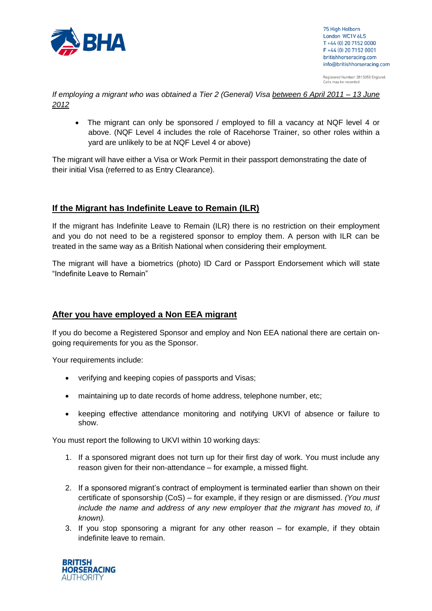

75 High Holborn London WC1V 6LS T +44 (0) 20 7152 0000 F +44 (0) 20 7152 0001 britishhorseracing.com info@britishhorseracing.com

Registered Number: 2813358 England.<br>Calls may be recorded

*If employing a migrant who was obtained a Tier 2 (General) Visa between 6 April 2011 – 13 June 2012*

 The migrant can only be sponsored / employed to fill a vacancy at NQF level 4 or above. (NQF Level 4 includes the role of Racehorse Trainer, so other roles within a yard are unlikely to be at NQF Level 4 or above)

The migrant will have either a Visa or Work Permit in their passport demonstrating the date of their initial Visa (referred to as Entry Clearance).

## **If the Migrant has Indefinite Leave to Remain (ILR)**

If the migrant has Indefinite Leave to Remain (ILR) there is no restriction on their employment and you do not need to be a registered sponsor to employ them. A person with ILR can be treated in the same way as a British National when considering their employment.

The migrant will have a biometrics (photo) ID Card or Passport Endorsement which will state "Indefinite Leave to Remain"

#### **After you have employed a Non EEA migrant**

If you do become a Registered Sponsor and employ and Non EEA national there are certain ongoing requirements for you as the Sponsor.

Your requirements include:

- verifying and keeping copies of passports and Visas;
- maintaining up to date records of home address, telephone number, etc;
- keeping effective attendance monitoring and notifying UKVI of absence or failure to show.

You must report the following to UKVI within 10 working days:

- 1. If a sponsored migrant does not turn up for their first day of work. You must include any reason given for their non-attendance – for example, a missed flight.
- 2. If a sponsored migrant's contract of employment is terminated earlier than shown on their certificate of sponsorship (CoS) – for example, if they resign or are dismissed. *(You must include the name and address of any new employer that the migrant has moved to, if known).*
- 3. If you stop sponsoring a migrant for any other reason for example, if they obtain indefinite leave to remain.